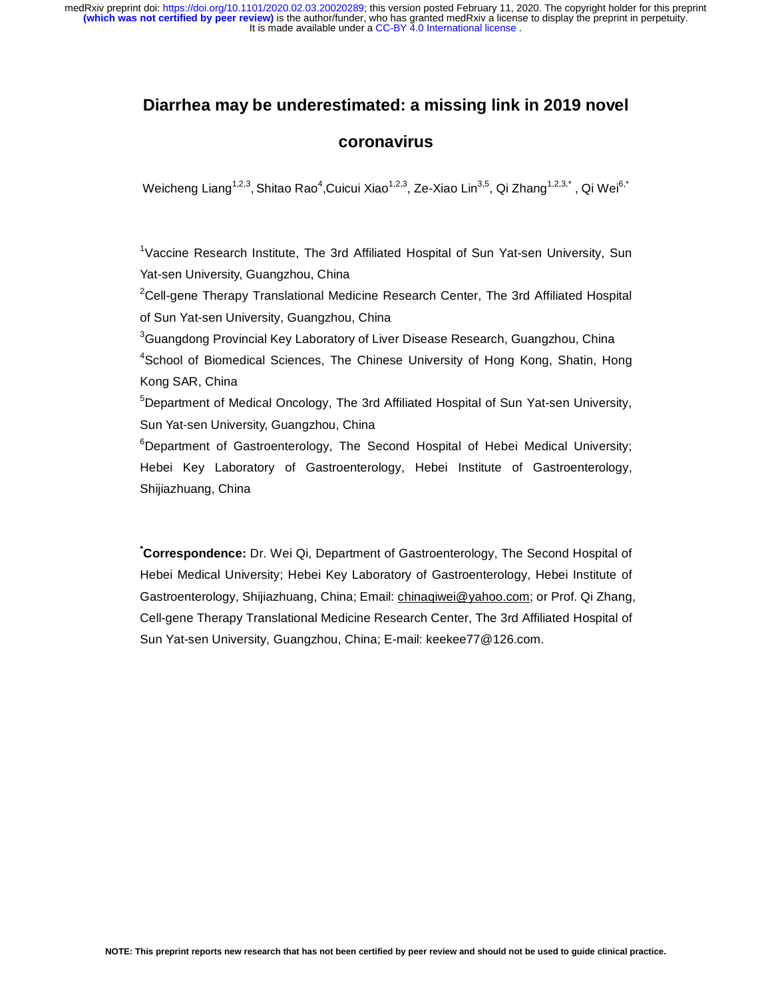# **Diarrhea may be underestimated: a missing link in 2019 novel**

# **coronavirus**

Weicheng Liang $^{1,2,3},$  Shitao Rao $^4$ ,Cuicui Xiao $^{1,2,3},$  Ze-Xiao Lin $^{3,5},$  Qi Zhang $^{1,2,3,\ast}$  , Qi Wei $^{6,\ast}$ 

<sup>1</sup>Vaccine Research Institute, The 3rd Affiliated Hospital of Sun Yat-sen University, Sun Yat-sen University, Guangzhou, China

 $2$ Cell-gene Therapy Translational Medicine Research Center, The 3rd Affiliated Hospital of Sun Yat-sen University, Guangzhou, China

 ${}^{3}$ Guangdong Provincial Key Laboratory of Liver Disease Research, Guangzhou, China <sup>4</sup>School of Biomedical Sciences, The Chinese University of Hong Kong, Shatin, Hong Kong SAR, China

<sup>5</sup>Department of Medical Oncology, The 3rd Affiliated Hospital of Sun Yat-sen University, Sun Yat-sen University, Guangzhou, China

<sup>6</sup>Department of Gastroenterology, The Second Hospital of Hebei Medical University; Hebei Key Laboratory of Gastroenterology, Hebei Institute of Gastroenterology, Shijiazhuang, China

**\* Correspondence:** Dr. Wei Qi, Department of Gastroenterology, The Second Hospital of Hebei Medical University; Hebei Key Laboratory of Gastroenterology, Hebei Institute of Gastroenterology, Shijiazhuang, China; Email: chinaqiwei@yahoo.com; or Prof. Qi Zhang, Cell-gene Therapy Translational Medicine Research Center, The 3rd Affiliated Hospital of Sun Yat-sen University, Guangzhou, China; E-mail: keekee77@126.com.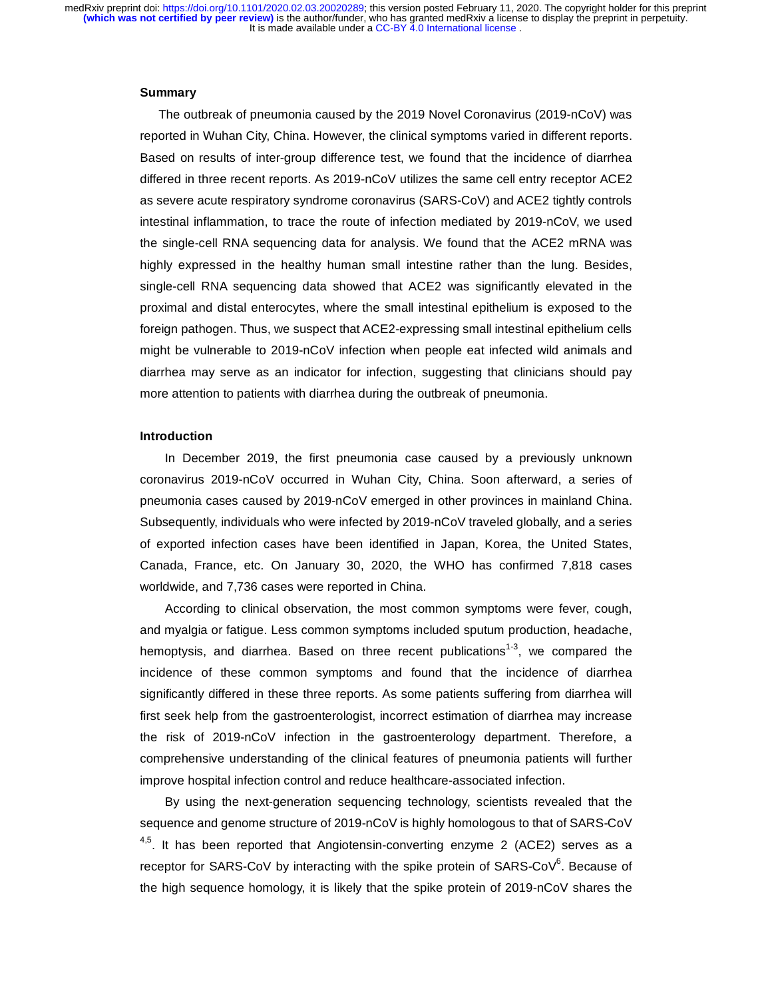#### **Summary**

 The outbreak of pneumonia caused by the 2019 Novel Coronavirus (2019-nCoV) was reported in Wuhan City, China. However, the clinical symptoms varied in different reports. Based on results of inter-group difference test, we found that the incidence of diarrhea differed in three recent reports. As 2019-nCoV utilizes the same cell entry receptor ACE2 as severe acute respiratory syndrome coronavirus (SARS-CoV) and ACE2 tightly controls intestinal inflammation, to trace the route of infection mediated by 2019-nCoV, we used the single-cell RNA sequencing data for analysis. We found that the ACE2 mRNA was highly expressed in the healthy human small intestine rather than the lung. Besides, single-cell RNA sequencing data showed that ACE2 was significantly elevated in the proximal and distal enterocytes, where the small intestinal epithelium is exposed to the foreign pathogen. Thus, we suspect that ACE2-expressing small intestinal epithelium cells might be vulnerable to 2019-nCoV infection when people eat infected wild animals and diarrhea may serve as an indicator for infection, suggesting that clinicians should pay more attention to patients with diarrhea during the outbreak of pneumonia.

### **Introduction**

In December 2019, the first pneumonia case caused by a previously unknown coronavirus 2019-nCoV occurred in Wuhan City, China. Soon afterward, a series of pneumonia cases caused by 2019-nCoV emerged in other provinces in mainland China. Subsequently, individuals who were infected by 2019-nCoV traveled globally, and a series of exported infection cases have been identified in Japan, Korea, the United States, Canada, France, etc. On January 30, 2020, the WHO has confirmed 7,818 cases worldwide, and 7,736 cases were reported in China.

According to clinical observation, the most common symptoms were fever, cough, and myalgia or fatigue. Less common symptoms included sputum production, headache, hemoptysis, and diarrhea. Based on three recent publications<sup>1-3</sup>, we compared the incidence of these common symptoms and found that the incidence of diarrhea significantly differed in these three reports. As some patients suffering from diarrhea will first seek help from the gastroenterologist, incorrect estimation of diarrhea may increase the risk of 2019-nCoV infection in the gastroenterology department. Therefore, a comprehensive understanding of the clinical features of pneumonia patients will further improve hospital infection control and reduce healthcare-associated infection.

By using the next-generation sequencing technology, scientists revealed that the sequence and genome structure of 2019-nCoV is highly homologous to that of SARS-CoV  $4.5$ . It has been reported that Angiotensin-converting enzyme 2 (ACE2) serves as a receptor for SARS-CoV by interacting with the spike protein of SARS-CoV<sup>6</sup>. Because of the high sequence homology, it is likely that the spike protein of 2019-nCoV shares the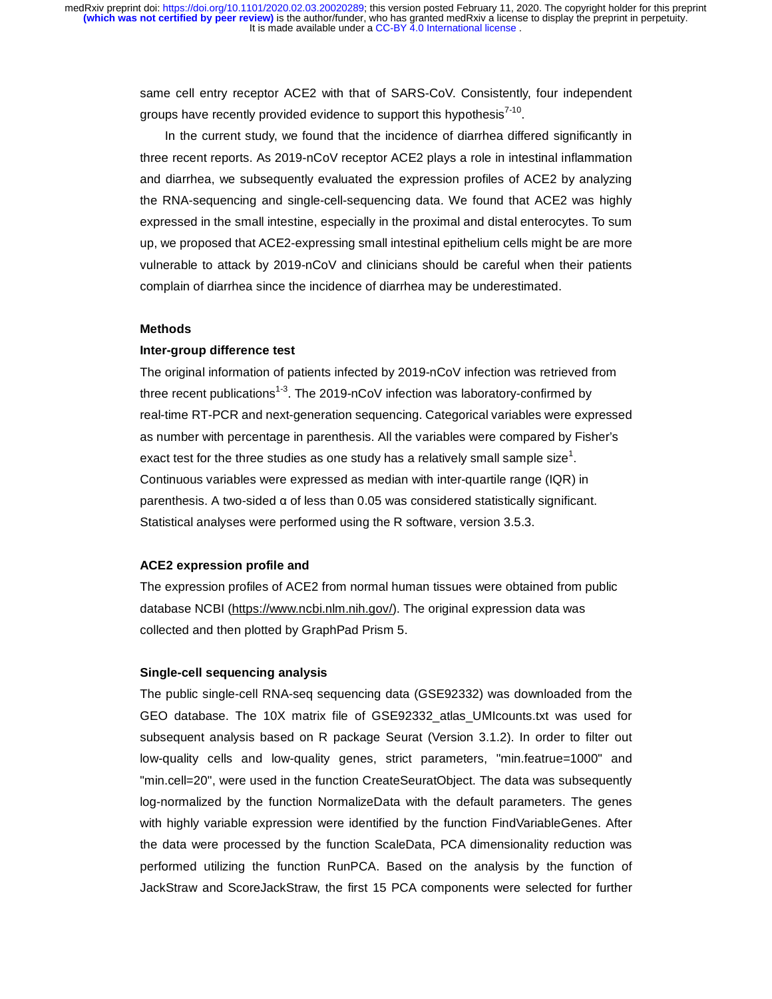same cell entry receptor ACE2 with that of SARS-CoV. Consistently, four independent groups have recently provided evidence to support this hypothesis $7-10$ .

In the current study, we found that the incidence of diarrhea differed significantly in three recent reports. As 2019-nCoV receptor ACE2 plays a role in intestinal inflammation and diarrhea, we subsequently evaluated the expression profiles of ACE2 by analyzing the RNA-sequencing and single-cell-sequencing data. We found that ACE2 was highly expressed in the small intestine, especially in the proximal and distal enterocytes. To sum up, we proposed that ACE2-expressing small intestinal epithelium cells might be are more vulnerable to attack by 2019-nCoV and clinicians should be careful when their patients complain of diarrhea since the incidence of diarrhea may be underestimated.

#### **Methods**

#### **Inter-group difference test**

The original information of patients infected by 2019-nCoV infection was retrieved from three recent publications<sup>1-3</sup>. The 2019-nCoV infection was laboratory-confirmed by real-time RT-PCR and next-generation sequencing. Categorical variables were expressed as number with percentage in parenthesis. All the variables were compared by Fisher's exact test for the three studies as one study has a relatively small sample size<sup>1</sup>. Continuous variables were expressed as median with inter-quartile range (IQR) in parenthesis. A two-sided α of less than 0.05 was considered statistically significant. Statistical analyses were performed using the R software, version 3.5.3.

#### **ACE2 expression profile and**

The expression profiles of ACE2 from normal human tissues were obtained from public database NCBI (https://www.ncbi.nlm.nih.gov/). The original expression data was collected and then plotted by GraphPad Prism 5.

## **Single-cell sequencing analysis**

The public single-cell RNA-seq sequencing data (GSE92332) was downloaded from the GEO database. The 10X matrix file of GSE92332\_atlas\_UMIcounts.txt was used for subsequent analysis based on R package Seurat (Version 3.1.2). In order to filter out low-quality cells and low-quality genes, strict parameters, "min.featrue=1000" and "min.cell=20", were used in the function CreateSeuratObject. The data was subsequently log-normalized by the function NormalizeData with the default parameters. The genes with highly variable expression were identified by the function FindVariableGenes. After the data were processed by the function ScaleData, PCA dimensionality reduction was performed utilizing the function RunPCA. Based on the analysis by the function of JackStraw and ScoreJackStraw, the first 15 PCA components were selected for further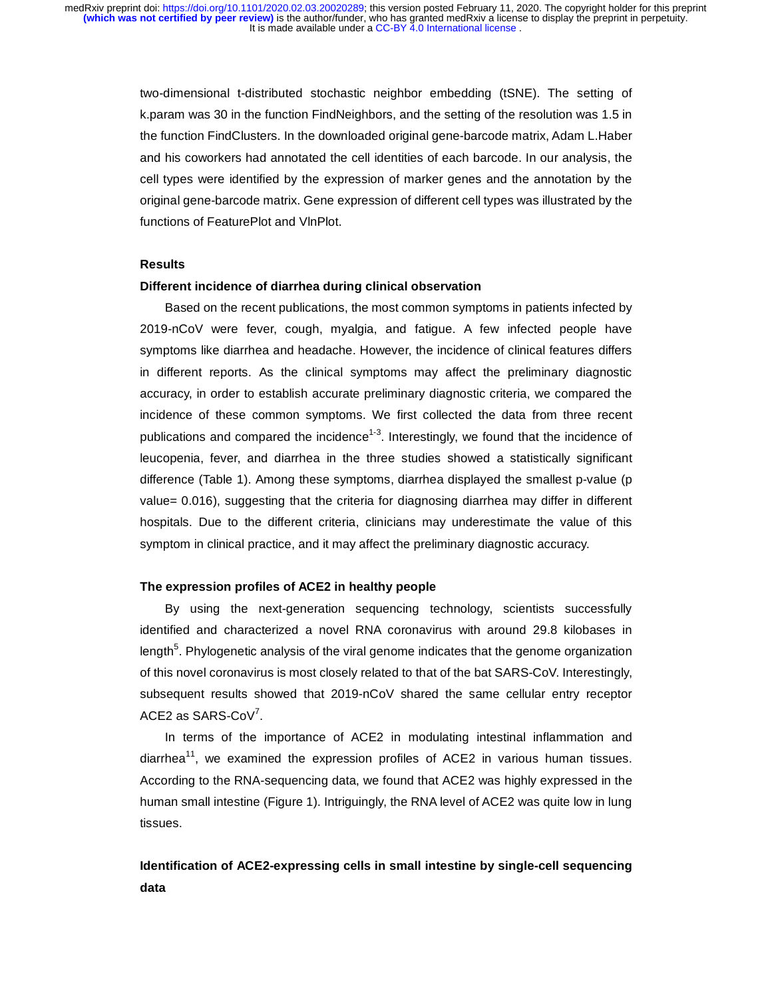two-dimensional t-distributed stochastic neighbor embedding (tSNE). The setting of k.param was 30 in the function FindNeighbors, and the setting of the resolution was 1.5 in the function FindClusters. In the downloaded original gene-barcode matrix, Adam L.Haber and his coworkers had annotated the cell identities of each barcode. In our analysis, the cell types were identified by the expression of marker genes and the annotation by the original gene-barcode matrix. Gene expression of different cell types was illustrated by the functions of FeaturePlot and VlnPlot.

## **Results**

#### **Different incidence of diarrhea during clinical observation**

Based on the recent publications, the most common symptoms in patients infected by 2019-nCoV were fever, cough, myalgia, and fatigue. A few infected people have symptoms like diarrhea and headache. However, the incidence of clinical features differs in different reports. As the clinical symptoms may affect the preliminary diagnostic accuracy, in order to establish accurate preliminary diagnostic criteria, we compared the incidence of these common symptoms. We first collected the data from three recent publications and compared the incidence<sup>1-3</sup>. Interestingly, we found that the incidence of leucopenia, fever, and diarrhea in the three studies showed a statistically significant difference (Table 1). Among these symptoms, diarrhea displayed the smallest p-value (p value= 0.016), suggesting that the criteria for diagnosing diarrhea may differ in different hospitals. Due to the different criteria, clinicians may underestimate the value of this symptom in clinical practice, and it may affect the preliminary diagnostic accuracy.

#### **The expression profiles of ACE2 in healthy people**

By using the next-generation sequencing technology, scientists successfully identified and characterized a novel RNA coronavirus with around 29.8 kilobases in length<sup>5</sup>. Phylogenetic analysis of the viral genome indicates that the genome organization of this novel coronavirus is most closely related to that of the bat SARS-CoV. Interestingly, subsequent results showed that 2019-nCoV shared the same cellular entry receptor ACE2 as  $SARS-CoV^7$ .

In terms of the importance of ACE2 in modulating intestinal inflammation and diarrhea $11$ , we examined the expression profiles of ACE2 in various human tissues. According to the RNA-sequencing data, we found that ACE2 was highly expressed in the human small intestine (Figure 1). Intriguingly, the RNA level of ACE2 was quite low in lung tissues.

# **Identification of ACE2-expressing cells in small intestine by single-cell sequencing data**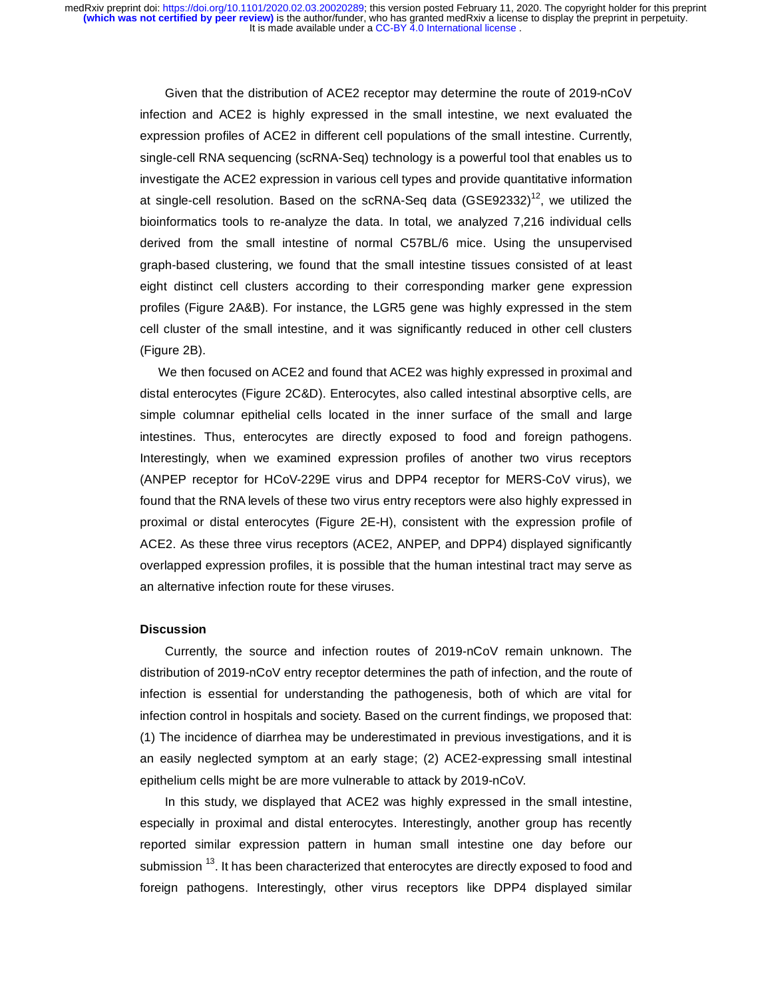> Given that the distribution of ACE2 receptor may determine the route of 2019-nCoV infection and ACE2 is highly expressed in the small intestine, we next evaluated the expression profiles of ACE2 in different cell populations of the small intestine. Currently, single-cell RNA sequencing (scRNA-Seq) technology is a powerful tool that enables us to investigate the ACE2 expression in various cell types and provide quantitative information at single-cell resolution. Based on the scRNA-Seq data (GSE92332)<sup>12</sup>, we utilized the bioinformatics tools to re-analyze the data. In total, we analyzed 7,216 individual cells derived from the small intestine of normal C57BL/6 mice. Using the unsupervised graph-based clustering, we found that the small intestine tissues consisted of at least eight distinct cell clusters according to their corresponding marker gene expression profiles (Figure 2A&B). For instance, the LGR5 gene was highly expressed in the stem cell cluster of the small intestine, and it was significantly reduced in other cell clusters (Figure 2B).

> We then focused on ACE2 and found that ACE2 was highly expressed in proximal and distal enterocytes (Figure 2C&D). Enterocytes, also called intestinal absorptive cells, are simple columnar epithelial cells located in the inner surface of the small and large intestines. Thus, enterocytes are directly exposed to food and foreign pathogens. Interestingly, when we examined expression profiles of another two virus receptors (ANPEP receptor for HCoV-229E virus and DPP4 receptor for MERS-CoV virus), we found that the RNA levels of these two virus entry receptors were also highly expressed in proximal or distal enterocytes (Figure 2E-H), consistent with the expression profile of ACE2. As these three virus receptors (ACE2, ANPEP, and DPP4) displayed significantly overlapped expression profiles, it is possible that the human intestinal tract may serve as an alternative infection route for these viruses.

#### **Discussion**

Currently, the source and infection routes of 2019-nCoV remain unknown. The distribution of 2019-nCoV entry receptor determines the path of infection, and the route of infection is essential for understanding the pathogenesis, both of which are vital for infection control in hospitals and society. Based on the current findings, we proposed that: (1) The incidence of diarrhea may be underestimated in previous investigations, and it is an easily neglected symptom at an early stage; (2) ACE2-expressing small intestinal epithelium cells might be are more vulnerable to attack by 2019-nCoV.

In this study, we displayed that ACE2 was highly expressed in the small intestine, especially in proximal and distal enterocytes. Interestingly, another group has recently reported similar expression pattern in human small intestine one day before our submission <sup>13</sup>. It has been characterized that enterocytes are directly exposed to food and foreign pathogens. Interestingly, other virus receptors like DPP4 displayed similar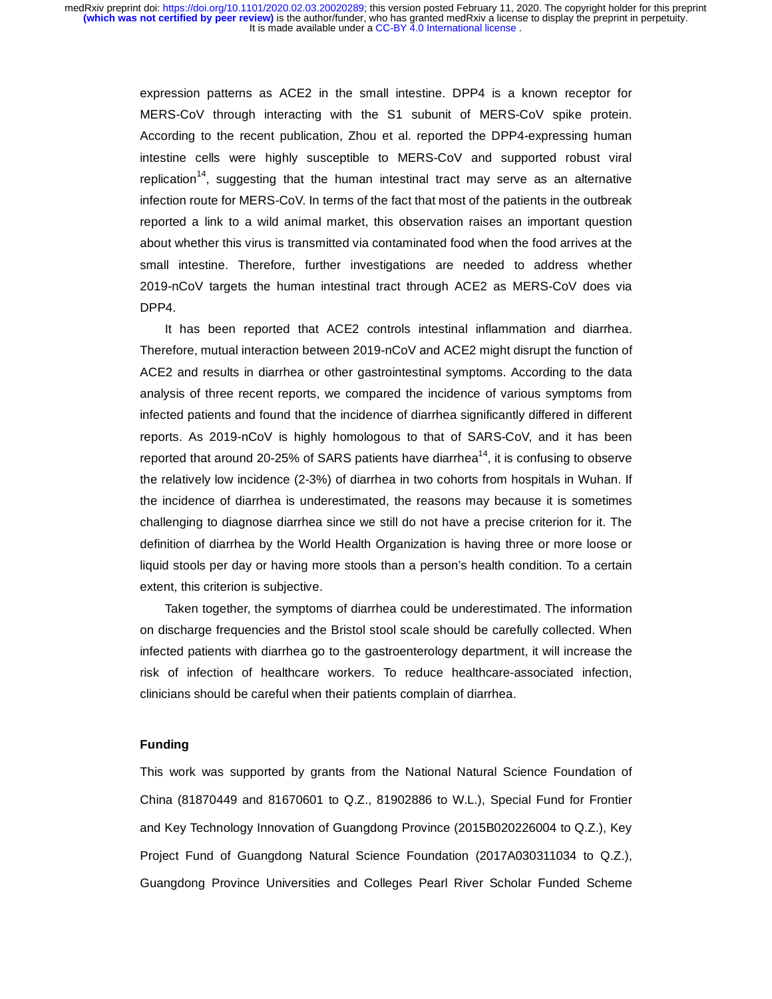expression patterns as ACE2 in the small intestine. DPP4 is a known receptor for MERS-CoV through interacting with the S1 subunit of MERS-CoV spike protein. According to the recent publication, Zhou et al. reported the DPP4-expressing human intestine cells were highly susceptible to MERS-CoV and supported robust viral replication<sup>14</sup>, suggesting that the human intestinal tract may serve as an alternative infection route for MERS-CoV. In terms of the fact that most of the patients in the outbreak reported a link to a wild animal market, this observation raises an important question about whether this virus is transmitted via contaminated food when the food arrives at the small intestine. Therefore, further investigations are needed to address whether 2019-nCoV targets the human intestinal tract through ACE2 as MERS-CoV does via DPP4.

It has been reported that ACE2 controls intestinal inflammation and diarrhea. Therefore, mutual interaction between 2019-nCoV and ACE2 might disrupt the function of ACE2 and results in diarrhea or other gastrointestinal symptoms. According to the data analysis of three recent reports, we compared the incidence of various symptoms from infected patients and found that the incidence of diarrhea significantly differed in different reports. As 2019-nCoV is highly homologous to that of SARS-CoV, and it has been reported that around 20-25% of SARS patients have diarrhea<sup>14</sup>, it is confusing to observe the relatively low incidence (2-3%) of diarrhea in two cohorts from hospitals in Wuhan. If the incidence of diarrhea is underestimated, the reasons may because it is sometimes challenging to diagnose diarrhea since we still do not have a precise criterion for it. The definition of diarrhea by the World Health Organization is having three or more loose or liquid stools per day or having more stools than a person's health condition. To a certain extent, this criterion is subjective.

Taken together, the symptoms of diarrhea could be underestimated. The information on discharge frequencies and the Bristol stool scale should be carefully collected. When infected patients with diarrhea go to the gastroenterology department, it will increase the risk of infection of healthcare workers. To reduce healthcare-associated infection, clinicians should be careful when their patients complain of diarrhea.

### **Funding**

This work was supported by grants from the National Natural Science Foundation of China (81870449 and 81670601 to Q.Z., 81902886 to W.L.), Special Fund for Frontier and Key Technology Innovation of Guangdong Province (2015B020226004 to Q.Z.), Key Project Fund of Guangdong Natural Science Foundation (2017A030311034 to Q.Z.), Guangdong Province Universities and Colleges Pearl River Scholar Funded Scheme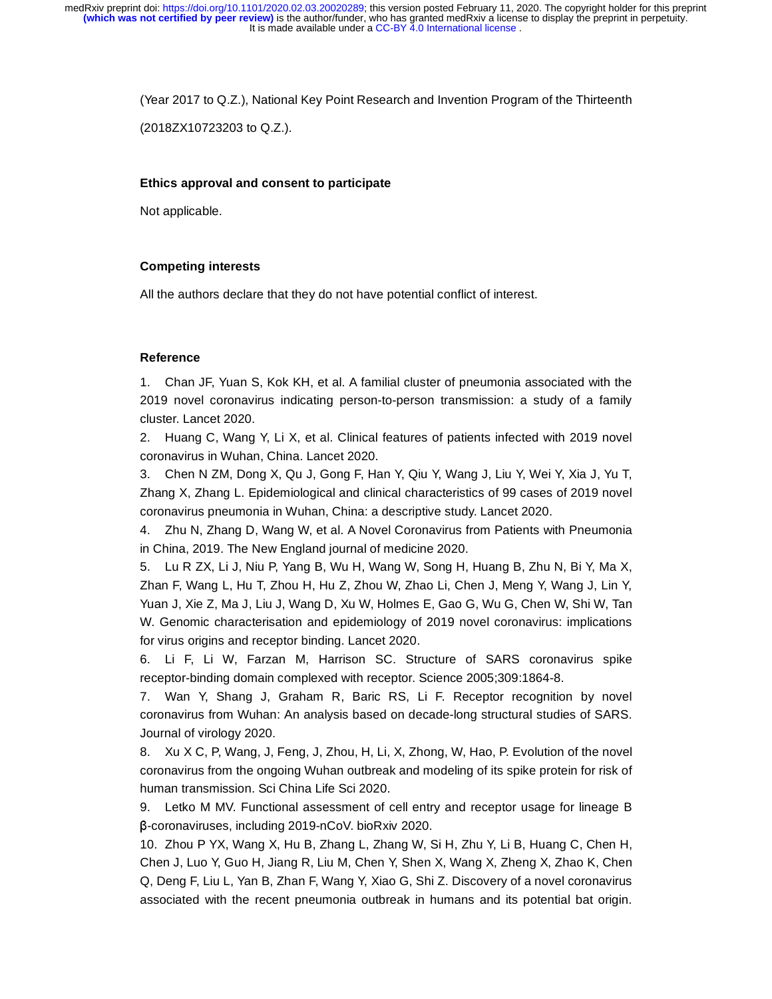(Year 2017 to Q.Z.), National Key Point Research and Invention Program of the Thirteenth

(2018ZX10723203 to Q.Z.).

#### **Ethics approval and consent to participate**

Not applicable.

#### **Competing interests**

All the authors declare that they do not have potential conflict of interest.

### **Reference**

1. Chan JF, Yuan S, Kok KH, et al. A familial cluster of pneumonia associated with the 2019 novel coronavirus indicating person-to-person transmission: a study of a family cluster. Lancet 2020.

2. Huang C, Wang Y, Li X, et al. Clinical features of patients infected with 2019 novel coronavirus in Wuhan, China. Lancet 2020.

3. Chen N ZM, Dong X, Qu J, Gong F, Han Y, Qiu Y, Wang J, Liu Y, Wei Y, Xia J, Yu T, Zhang X, Zhang L. Epidemiological and clinical characteristics of 99 cases of 2019 novel coronavirus pneumonia in Wuhan, China: a descriptive study. Lancet 2020.

4. Zhu N, Zhang D, Wang W, et al. A Novel Coronavirus from Patients with Pneumonia in China, 2019. The New England journal of medicine 2020.

5. Lu R ZX, Li J, Niu P, Yang B, Wu H, Wang W, Song H, Huang B, Zhu N, Bi Y, Ma X, Zhan F, Wang L, Hu T, Zhou H, Hu Z, Zhou W, Zhao Li, Chen J, Meng Y, Wang J, Lin Y, Yuan J, Xie Z, Ma J, Liu J, Wang D, Xu W, Holmes E, Gao G, Wu G, Chen W, Shi W, Tan W. Genomic characterisation and epidemiology of 2019 novel coronavirus: implications for virus origins and receptor binding. Lancet 2020.

6. Li F, Li W, Farzan M, Harrison SC. Structure of SARS coronavirus spike receptor-binding domain complexed with receptor. Science 2005;309:1864-8.

7. Wan Y, Shang J, Graham R, Baric RS, Li F. Receptor recognition by novel coronavirus from Wuhan: An analysis based on decade-long structural studies of SARS. Journal of virology 2020.

8. Xu X C, P, Wang, J, Feng, J, Zhou, H, Li, X, Zhong, W, Hao, P. Evolution of the novel coronavirus from the ongoing Wuhan outbreak and modeling of its spike protein for risk of human transmission. Sci China Life Sci 2020.

9. Letko M MV. Functional assessment of cell entry and receptor usage for lineage B <sup>β</sup>-coronaviruses, including 2019-nCoV. bioRxiv 2020.

10. Zhou P YX, Wang X, Hu B, Zhang L, Zhang W, Si H, Zhu Y, Li B, Huang C, Chen H, Chen J, Luo Y, Guo H, Jiang R, Liu M, Chen Y, Shen X, Wang X, Zheng X, Zhao K, Chen Q, Deng F, Liu L, Yan B, Zhan F, Wang Y, Xiao G, Shi Z. Discovery of a novel coronavirus associated with the recent pneumonia outbreak in humans and its potential bat origin.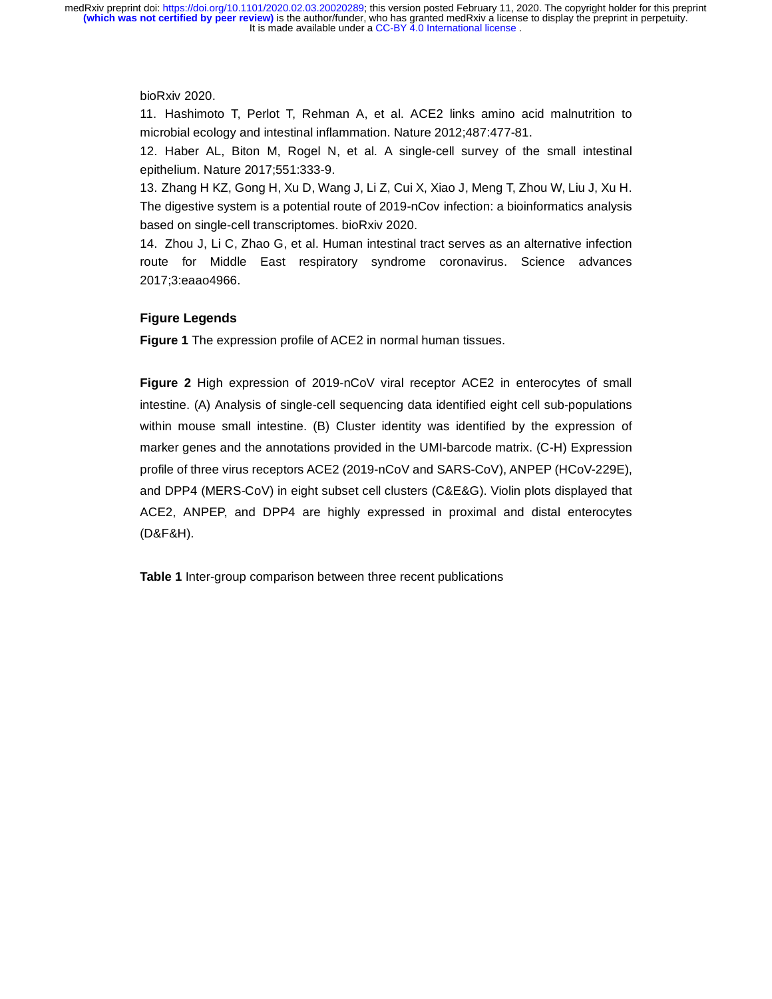bioRxiv 2020.

11. Hashimoto T, Perlot T, Rehman A, et al. ACE2 links amino acid malnutrition to microbial ecology and intestinal inflammation. Nature 2012;487:477-81.

12. Haber AL, Biton M, Rogel N, et al. A single-cell survey of the small intestinal epithelium. Nature 2017;551:333-9.

13. Zhang H KZ, Gong H, Xu D, Wang J, Li Z, Cui X, Xiao J, Meng T, Zhou W, Liu J, Xu H. The digestive system is a potential route of 2019-nCov infection: a bioinformatics analysis based on single-cell transcriptomes. bioRxiv 2020.

14. Zhou J, Li C, Zhao G, et al. Human intestinal tract serves as an alternative infection route for Middle East respiratory syndrome coronavirus. Science advances 2017;3:eaao4966.

## **Figure Legends**

**Figure 1** The expression profile of ACE2 in normal human tissues.

**Figure 2** High expression of 2019-nCoV viral receptor ACE2 in enterocytes of small intestine. (A) Analysis of single-cell sequencing data identified eight cell sub-populations within mouse small intestine. (B) Cluster identity was identified by the expression of marker genes and the annotations provided in the UMI-barcode matrix. (C-H) Expression profile of three virus receptors ACE2 (2019-nCoV and SARS-CoV), ANPEP (HCoV-229E), and DPP4 (MERS-CoV) in eight subset cell clusters (C&E&G). Violin plots displayed that ACE2, ANPEP, and DPP4 are highly expressed in proximal and distal enterocytes (D&F&H).

**Table 1** Inter-group comparison between three recent publications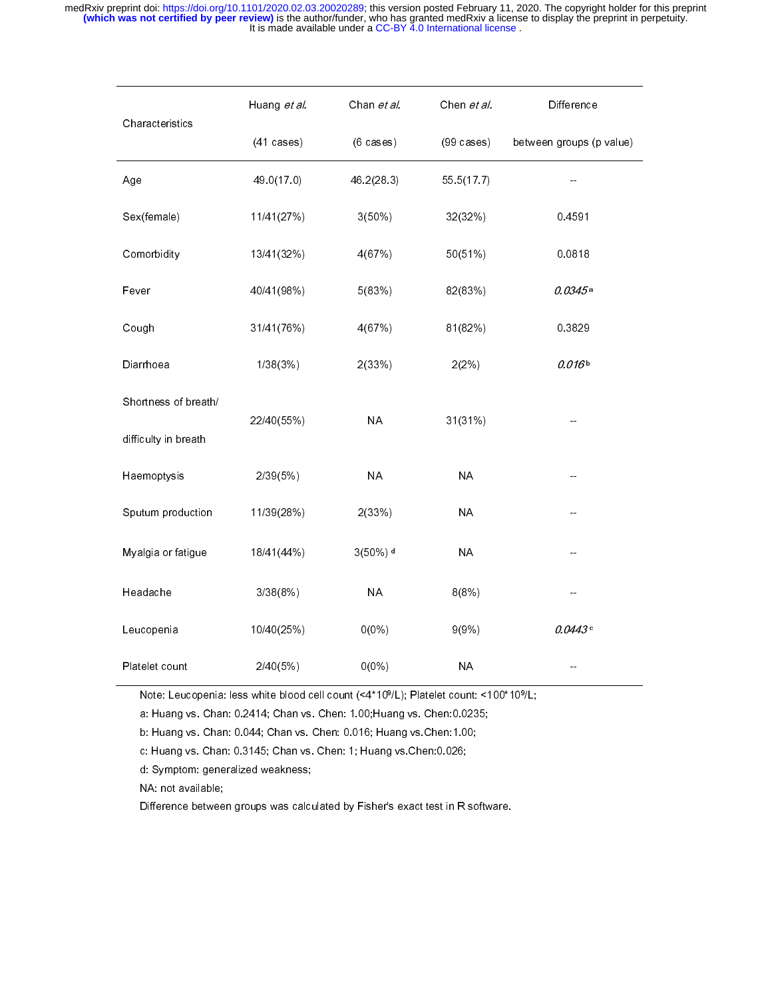| Characteristics      | Huang et al. | Chan et al.            | Chen et al.          | Difference               |
|----------------------|--------------|------------------------|----------------------|--------------------------|
|                      | (41 cases)   | $(6 \text{ cases})$    | $(99 \text{ cases})$ | between groups (p value) |
| Age                  | 49.0(17.0)   | 46.2(28.3)             | 55 5(177)            | $\overline{\phantom{a}}$ |
| Sex(female)          | 11/41(27%)   | $3(50\%)$              | 32(32%)              | 0.4591                   |
| Comorbidity          | 13/41(32%)   | 4(67%)                 | 50(51%)              | 0.0818                   |
| Fever                | 40/41(98%)   | 5(83%)                 | 82(83%)              | 0.0345a                  |
| Cough                | 31/41(76%)   | 4(67%)                 | 81(82%)              | 0.3829                   |
| Diarrhoea            | 1/38(3%)     | 2(33%)                 | 2(2%)                | 0.016 <sup>b</sup>       |
| Shortness of breath/ |              |                        |                      |                          |
| difficulty in breath | 22/40(55%)   | <b>NA</b>              | 31(31%)              | $\overline{a}$           |
| Haemoptysis          | 2/39(5%)     | <b>NA</b>              | <b>NA</b>            | $\overline{\phantom{a}}$ |
| Sputum production    | 11/39(28%)   | 2(33%)                 | <b>NA</b>            | --                       |
| Myalgia or fatigue   | 18/41(44%)   | $3(50\%)$ <sup>d</sup> | <b>NA</b>            | --                       |
| Headache             | 3/38(8%)     | <b>NA</b>              | 8(8%)                | --                       |
| Leucopenia           | 10/40(25%)   | $0(0\%)$               | 9(9%)                | 0.0443c                  |
| Platelet count       | 2/40(5%)     | $0(0\%)$               | <b>NA</b>            | ۵.                       |

Note: Leucopenia: less white blood cell count (<4\*109/L); Platelet count: <100\*109/L;

a: Huang vs. Chan: 0.2414; Chan vs. Chen: 1.00;Huang vs. Chen:0.0235;

b: Huang vs. Chan: 0.044; Chan vs. Chen: 0.016; Huang vs.Chen:1.00;

c: Huang vs. Chan: 0.3145; Chan vs. Chen: 1; Huang vs.Chen:0.026;

d: Symptom: generalized weakness;

NA: not available;

Difference between groups was calculated by Fisher's exact test in R software.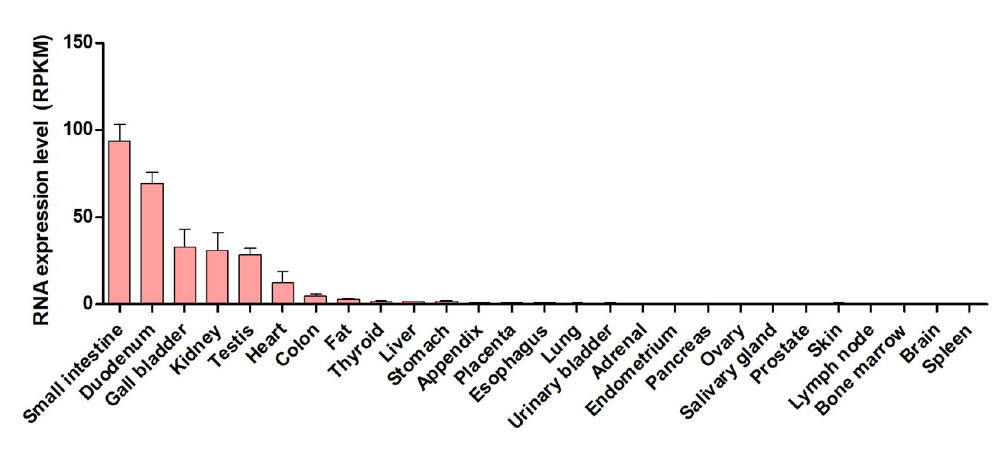